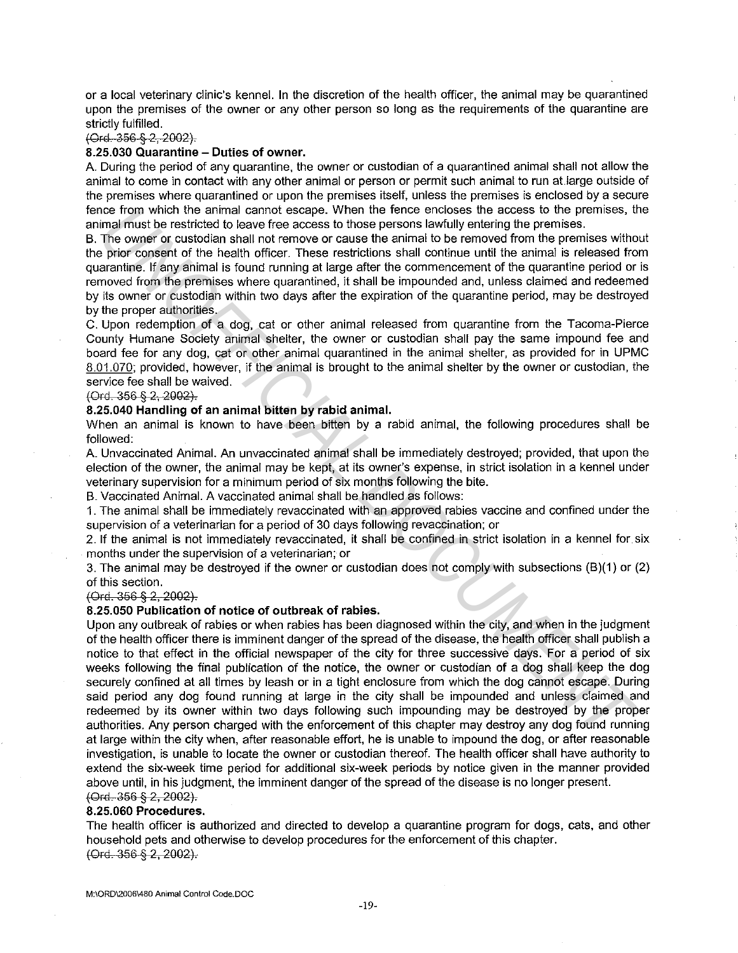or a local veterinary clinic's kennel. In the discretion of the health officer, the animal may be quarantined upon the premises of the owner or any other person so long as the requirements of the quarantine are strictly fulfilled.

{0~6 § 2, 2002).

# **8.25.030 Quarantine - Duties of owner.**

A. During the period of any quarantine, the owner or custodian of a quarantined animal shall not allow the animal to come in contact with any other animal or person or permit such animal to run at.large outside of the premises where quarantined or upon the premises itself, unless the premises is enclosed by a secure fence from which the animal cannot escape. When the fence encloses the access to the premises, the animal must be restricted to leave free access to those persons lawfully entering the premises.

B. The owner or custodian shall not remove or cause the animal to be removed from the premises without the prior consent of the health officer. These restrictions shall continue until the animal is released from quarantine. If any animal is found running at large after the commencement of the quarantine period or is removed from the premises where quarantined, it shall be impounded and, unless claimed and redeemed by its owner or custodian within two days after the expiration of the quarantine period, may be destroyed by the proper authorities.

C. Upon redemption of a dog, cat or other animal released from quarantine from the Tacoma-Pierce County Humane Society animal shelter, the owner or custodian shall pay the same impound fee and board fee for any dog, cat or other animal quarantined in the animal shelter, as provided for in UPMC 8.01.070; provided, however, if the animal is brought to the animal shelter by the owner or custodian, the service fee shall be waived.

#### $(Ord. 356 § 2, 2002)$ .

## **8.25.040 Handling of an animal bitten by rabid animal.**

When an animal is known to have been bitten by a rabid animal, the following procedures shall be followed:

A. Unvaccinated Animal. An unvaccinated animal shall be immediately destroyed; provided, that upon the election of the owner, the animal may be kept, at its owner's expense, in strict isolation in a kennel under veterinary supervision for a minimum period of six months following the bite.

B. Vaccinated Animal. A vaccinated animal shall be handled as follows:

1. The animal shall be immediately revaccinated with an approved rabies vaccine and confined under the supervision of a veterinarian for a period of 30 days following revaccination; or

2. If the animal is not immediately revaccinated, it shall be confined in strict isolation in a kennel for six months under the supervision of a veterinarian; or

3. The animal may be destroyed if the owner or custodian does not comply with subsections (B)(1) or (2) of this section.

{Ord. 356 § 2, 2002).

## **8.25.050 Publication of notice of outbreak of rabies.**

Upon any outbreak of rabies or when rabies has been diagnosed within the city, and when in the judgment of the health officer there is imminent danger of the spread of the disease, the health officer shall publish a notice to that effect in the official newspaper of the city for three successive days. For a period of six weeks following the final publication of the notice, the owner or custodian of a dog shall keep the dog securely confined at all times by leash or in a tight enclosure from which the dog cannot escape. During said period any dog found running at large in the city shall be impounded and unless claimed and redeemed by its owner within two days following such impounding may be destroyed by the proper authorities. Any person charged with the enforcement of this chapter may destroy any dog found running at large within the city when, after reasonable effort, he is unable to impound the dog, or after reasonable investigation, is unable to locate the owner or custodian thereof. The health officer shall have authority to extend the six-week time period for additional six-week periods by notice given in the manner provided above until, in his judgment, the imminent danger of the spread of the disease is no longer present. (Ord. 356 § 2, 2002). no from which the animal cannot escape. When the fenco encloses the access to the premises, then the fenco encomposes the access to the premise premises profile principle principle principle principle principle principle p

#### **8.25.060 Procedures.**

The health officer is authorized and directed to develop a quarantine program for dogs, cats, and other household pets and otherwise to develop procedures for the enforcement of this chapter. {Ord. 356 § 2, 2002).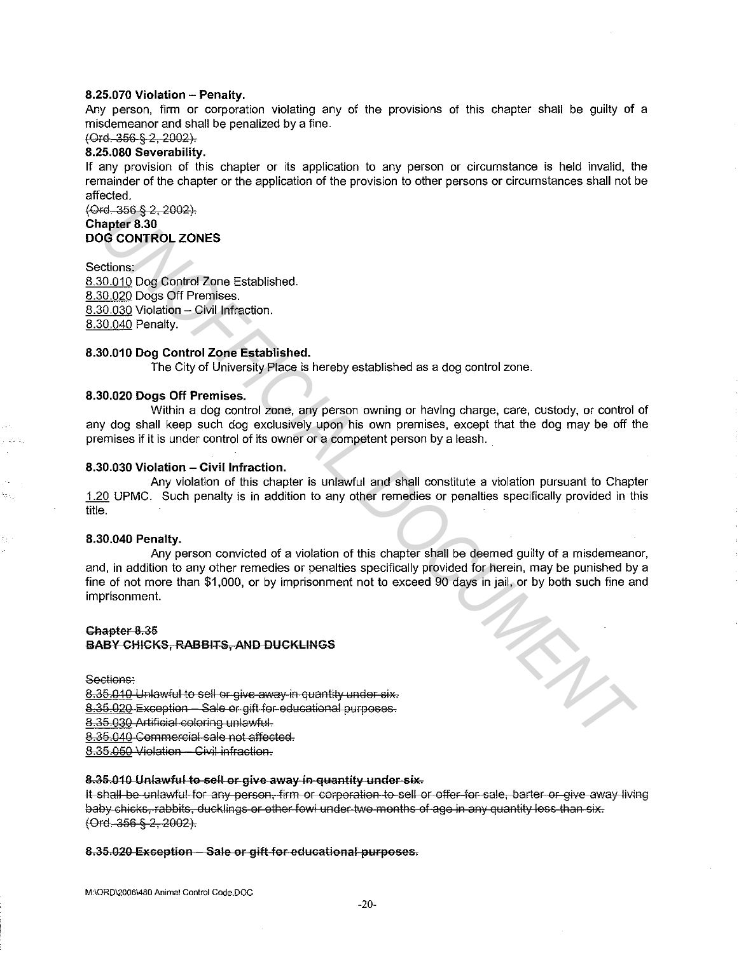#### 8.25.070 Violation - Penalty.

Any person. firm or corporation violating any of the provisions of this chapter shall be guilty of a misdemeanor and shall be penalized by a fine.

# (Ord 356 § 2, 2002).

8.25.080 Severability.

If any provision of this chapter or its application to any person or circumstance is held invalid, the remainder of the chapter or the application of the provision to other persons or circumstances shall not be affected.

(Ord. 356 § 2, 2002). Chapter 8.30

## DOG CONTROL ZONES

Sections: 8.30.010 Dog Control Zone Established. 8.30.020 Dogs Off Premises. 8.30.030 Violation - Civil Infraction. 8.30.040 Penalty.

## 8.30.010 Dog Control Zone Established.

The City of University Place is hereby established as a dog control zone.

## 8.30.020 Dogs Off Premises.

Within a dog control zone, any person owning or having charge, care, custody, or control of any dog shall keep such dog exclusively upon his own premises, except that the dog may be off the premises if it is under control of its owner or a competent person by a leash.

#### 8.30.030 Violation - Civil Infraction.

Any violation of this chapter is unlawful and shall constitute a violation pursuant to Chapter 1.20 UPMC. Such penalty is in addition to any other remedies or penalties specifically provided in this title.

## 8.30.040 Penalty.

Any person convicted of a violation of this chapter shall be deemed guilty of a misdemeanor, and, in addition to any other remedies or penalties specifically provided for herein, may be punished by a fine of not more than \$1,000, or by imprisonment not to exceed 90 days in jail, or by both such fine and imprisonment. re-36;6-52-2002)<br> **UNOFFICIAL DOCUMENTA CONFICIAL DESC**<br>
20.010 Dog Control Zone Established.<br>
20.020 Dog Control Zone Established.<br>
20.020 Dogs Off Promises.<br>
20.020 Dogs Off Promises.<br>
10.030 Violation - Civil Infraction

## Chapter 8.35 BABY CHICKS, RABBITS, AND DUCKLINGS

Sections:

8.35.010 Unlawful to sell or give away in quantity under six. 8.35.020 Exception - Sale or gift-for-educational purposes. 8.35.030 Artificial coloring unlawful. g.35.040 Commercial sale not affected. 8.35.050 Violation - Civil infraction.

#### 8.35.010 Unlawful to sell or give away in quantity under six.

It shall be unlawful for any person, firm or corporation to sell or offer for sale, barter or give away living baby chicks, rabbits, ducklings or other fowl under two months of age in any quantity less than six. (Ord. 356 § 2, 2002).

#### 8.35.020 Exception - Sale or gift for educational purposes.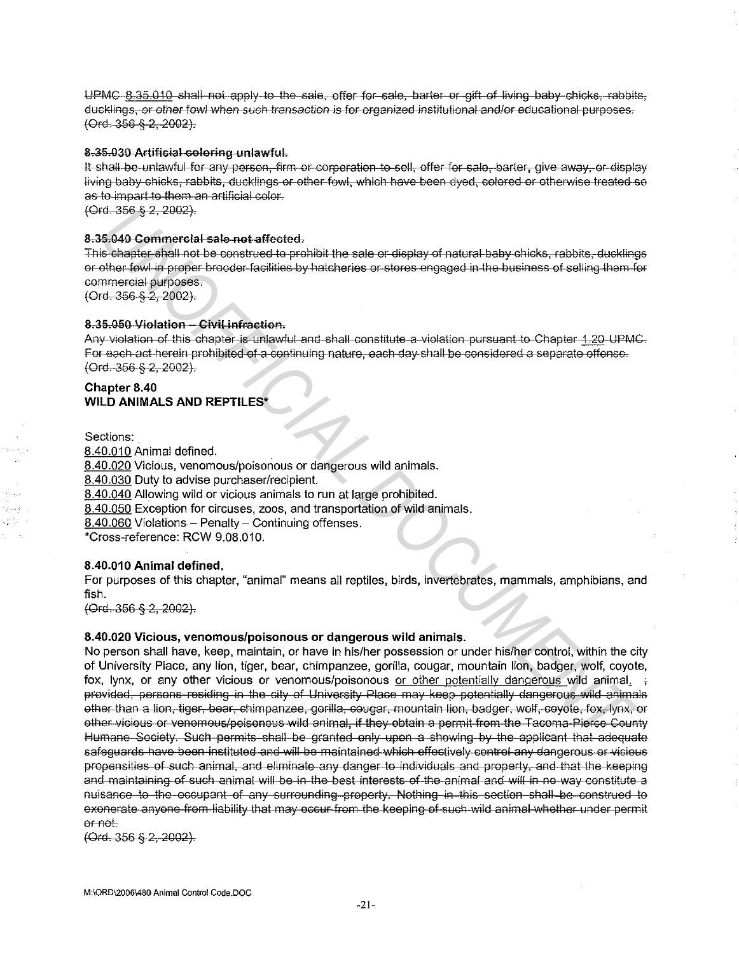UPMC 8.35.010 shall not apply to the sale, offer for sale, barter or gift of living baby chicks, rabbits, ducklings, or other fowl when such transaction is for organized institutional and/or educational purposes. (Ord. 356 § 2, 2002).

## 8.35.030 Artificial coloring unlawful.

It shall be unlawful for any person, firm or corporation to sell, offer for sale, barter, give away, or display living baby chicks, rabbits, ducklings or other fowl, which have been dyed, colored or otherwise treated so as to impart to them an artificial color.

(Ord. 356 § 2, 2002).

## 8.35.040 Commercial sale not affected.

This chapter shall not be construed to prohibit the sale or display of natural baby chicks, rabbits, ducklings or other fowl in proper brooder facilities by hatcheries or stores engaged in the business of selling them for commercial purposes.

(Ord. 356 § 2, 2002).

## 8.35.050 Violation - Civil infraction.

Any violation of this chapter is unlawful and shall constitute a violation pursuant to Chapter 1.20 UPMC. For each act herein prohibited of a continuing nature, each day shall be considered a separate offense. (Ord. 356 § 2, 2002).

# Chapter 8.40 **WILD ANIMALS AND REPTILES\***

Sections:

متدورة ag t

8.40.010 Animal defined. 8.40.020 Vicious, venomous/poisonous or dangerous wild animals. 8.40.030 Duty to advise purchaser/recipient. 8.40.040 Allowing wild or vicious animals to run at large prohibited. 8.40.050 Exception for circuses, zoos, and transportation of wild animals. 8.40.060 Violations - Penalty - Continuing offenses. \*Cross-reference: RCW 9.08.010.

## 8.40.010 Animal defined.

For purposes of this chapter, "animal" means all reptiles, birds, invertebrates, mammals, amphibians, and fish.

 $(Ord - 356 - 82, 2002)$ .

## 8.40.020 Vicious, venomous/poisonous or dangerous wild animals.

No person shall have, keep, maintain, or have in his/her possession or under his/her control, within the city of University Place, any lion, tiger, bear, chimpanzee, gorilla, cougar, mountain lion, badger, wolf, coyote, fox, lynx, or any other vicious or venomous/poisonous or other potentially dangerous wild animal. provided, persons residing in the city of University Place may keep potentially dangerous wild animals other than a lion, tiger, bear, chimpanzee, gorilla, cougar, mountain lion, badger, wolf, coyote, fox, lynx, or other vicious or venomous/poisonous wild animal, if they obtain a permit from the Tacoma-Pierce County Humane Society. Such permits shall be granted only upon a showing by the applicant that adequate safeguards have been instituted and will be maintained which effectively control any dangerous or vicious propensities of such animal, and eliminate any danger to individuals and property, and that the keeping and maintaining of such animal will be in the best interests of the animal and will in no way constitute a nuisance to the occupant of any surrounding property. Nothing in this section shall be construed to exonerate anyone from liability that may occur from the keeping of such wild animal whether under permit or not.

 $(Ord. 356 § 2, 2002).$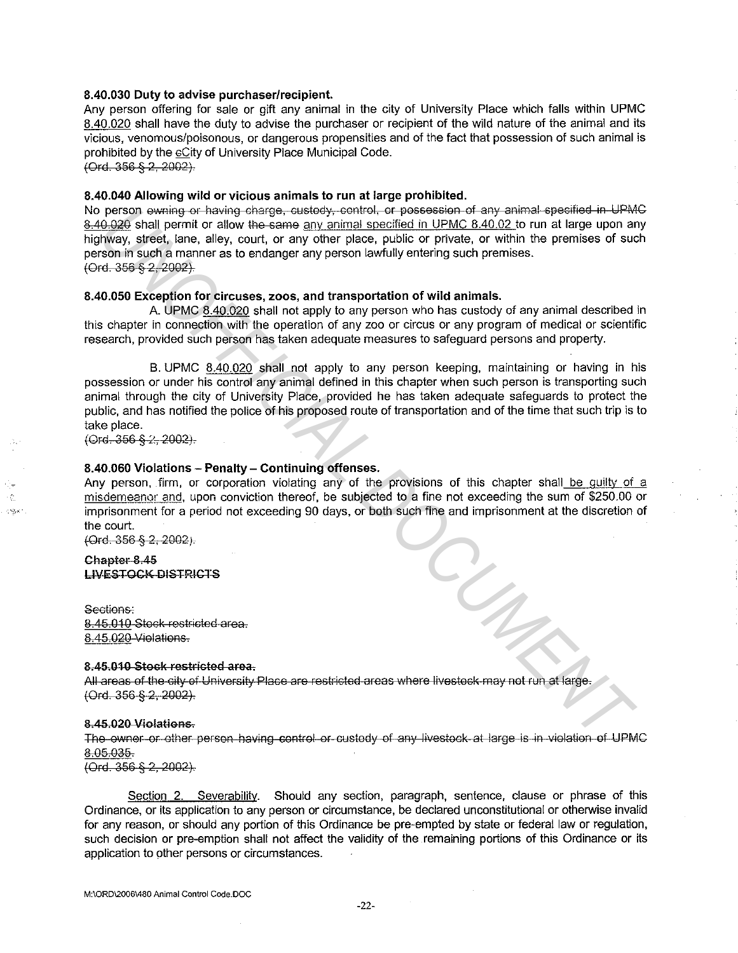#### **8.40.030 Duty to advise purchaser/recipient.**

Any person offering for sale or gift any animal in the city of University Place which falls within UPMC 8.40.020 shall have the duty to advise the purchaser or recipient of the wild nature of the animal and its vicious, venomous/poisonous, or dangerous propensities and of the fact that possession of such animal is prohibited by the cCity of University Place Municipal Code.

(Ord. 356 § 2, 2002}

#### **8.40.040 Allowing wild or vicious animals to run at large prohibited.**

No person ewning or having charge, custody, control, or possession of any animal specified in UPMC 8.40.020 shall permit or allow the same any animal specified in UPMC 8.40.02 to run at large upon any highway, street, lane, alley, court, or any other place, public or private, or within the premises of such person in such a manner as to endanger any person lawfully entering such premises. (Ore. 356 § 2, 2002).

#### **8.40.050 Exception for circuses, zoos, and transportation of wild animals.**

A. UPMC 8.40.020 shall not apply to any person who has custody of any animal described in this chapter in connection with the operation of any zoo or circus or any program of medical or scientific research, provided such person has taken adequate measures to safeguard persons and property.

B. UPMC 8.40.020 shall not apply to any person keeping, maintaining or having in his possession or under his control any animal defined in this chapter when such person is transporting such animal through the city of University Place, provided he has taken adequate safeguards to protect the public, and has notified the police of his proposed route of transportation and of the time that such trip is to take place. **Person, eventage change change custody, control, or possession of any submate specified in the theory control.**<br>
<u>UNOFF</u> state, lane, alley court, or any diversions, control in the particle in the particle of the state sp

 $(Ord. 356 § 2, 2002).$ 

## **8.40.060 Violations - Penalty- Continuing offenses.**

Any person, firm, or corporation violating any of the provisions of this chapter shall be quilty of a misdemeanor and, upon conviction thereof, be subjected to a fine not exceeding the sum of \$250.00 or imprisonment for a period not exceeding 90 days, or both such fine and imprisonment at the discretion of the court.

(Ord. 356 § 2, 2002).

## Chapter-8.45 LIVESTOCK-DISTRICTS

Sections: 8.45.010 Stock restricted area. 8.45.020-Violations.

#### 8.45.010 Stock restricted area.

All areas of the city of University Place are restricted areas where livestock may not run at large. {Ord. 356 § 2, 2002).

#### 8.45.020 Violations.

The owner or other person having control or custody of any livestock at large is in violation of UPMC 8.05 035

(Ord. 356 § 2, 2002).

Section 2. Severability. Should any section, paragraph, sentence, clause or phrase of this Ordinance, or its application to any person or circumstance, be declared unconstitutional or otherwise invalid for any reason, or should any portion of this Ordinance be pre-empted by state or federal law or regulation, such decision or pre-emption shall not affect the validity of the remaining portions of this Ordinance or its application to other persons or circumstances.

**M:\ORD\2006\480 Animal Control Code.DOC**